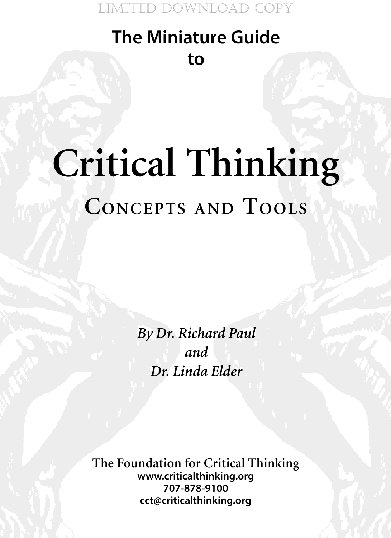TED DOWNLOAD C

# **The Miniature Guide to**

# **Critical Thinking Concepts and Tools**

*By Dr. Richard Paul and Dr. Linda Elder*

**The Foundation for Critical Thinking www.criticalthinking.org 707-878-9100 cct@criticalthinking.org**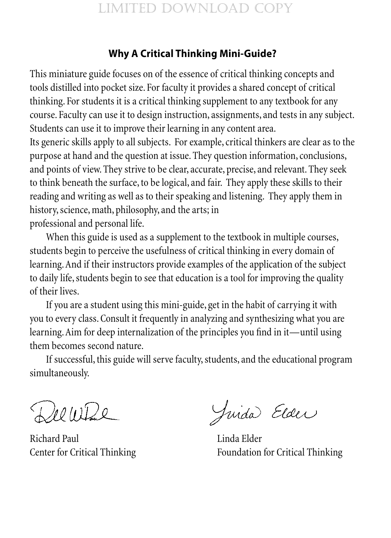#### **Why A Critical Thinking Mini-Guide?**

This miniature guide focuses on of the essence of critical thinking concepts and tools distilled into pocket size. For faculty it provides a shared concept of critical thinking. For students it is a critical thinking supplement to any textbook for any course. Faculty can use it to design instruction, assignments, and tests in any subject. Students can use it to improve their learning in any content area.

Its generic skills apply to all subjects. For example, critical thinkers are clear as to the purpose at hand and the question at issue. They question information, conclusions, and points of view. They strive to be clear, accurate, precise, and relevant. They seek to think beneath the surface, to be logical, and fair. They apply these skills to their reading and writing as well as to their speaking and listening. They apply them in history, science, math, philosophy, and the arts; in professional and personal life.

When this guide is used as a supplement to the textbook in multiple courses, students begin to perceive the usefulness of critical thinking in every domain of learning. And if their instructors provide examples of the application of the subject to daily life, students begin to see that education is a tool for improving the quality of their lives.

If you are a student using this mini-guide, get in the habit of carrying it with you to every class. Consult it frequently in analyzing and synthesizing what you are learning. Aim for deep internalization of the principles you find in it—until using them becomes second nature.

If successful, this guide will serve faculty, students, and the educational program simultaneously.

Deewike

Richard Paul Linda Elder

Juida Elder

Center for Critical Thinking Foundation for Critical Thinking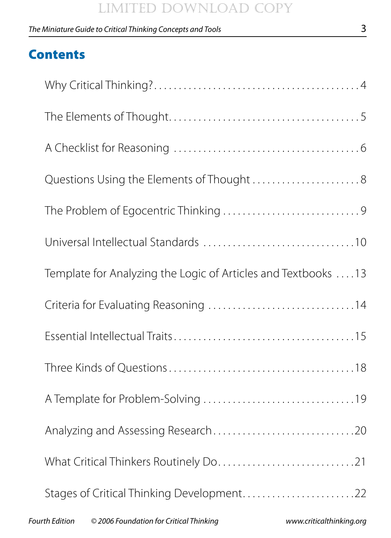### **LIMITED DOWNLOAD COPY**

#### The Miniature Guide to Critical Thinking Concepts and Tools

#### **Contents**

| Questions Using the Elements of Thought 8                        |                          |
|------------------------------------------------------------------|--------------------------|
|                                                                  |                          |
|                                                                  |                          |
| Template for Analyzing the Logic of Articles and Textbooks 13    |                          |
|                                                                  |                          |
|                                                                  |                          |
|                                                                  |                          |
|                                                                  |                          |
|                                                                  |                          |
|                                                                  |                          |
| Stages of Critical Thinking Development22                        |                          |
| <b>Fourth Edition</b><br>© 2006 Foundation for Critical Thinking | www.criticalthinking.org |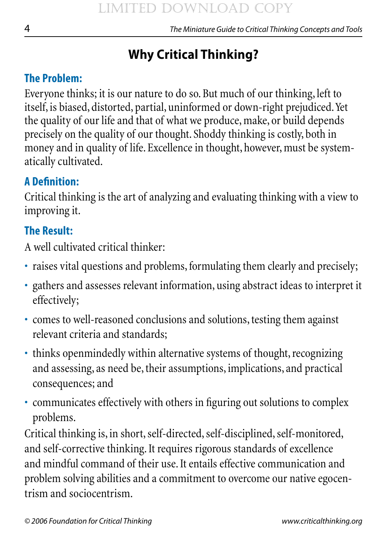# **Why Critical Thinking?**

#### **The Problem:**

Everyone thinks; it is our nature to do so. But much of our thinking, left to itself, is biased, distorted, partial, uninformed or down-right prejudiced. Yet the quality of our life and that of what we produce, make, or build depends precisely on the quality of our thought. Shoddy thinking is costly, both in money and in quality of life. Excellence in thought, however, must be systematically cultivated.

#### **A Definition:**

Critical thinking is the art of analyzing and evaluating thinking with a view to improving it.

#### **The Result:**

A well cultivated critical thinker:

- raises vital questions and problems, formulating them clearly and precisely;
- gathers and assesses relevant information, using abstract ideas to interpret it effectively;
- comes to well-reasoned conclusions and solutions, testing them against relevant criteria and standards;
- thinks openmindedly within alternative systems of thought, recognizing and assessing, as need be, their assumptions, implications, and practical consequences; and
- communicates effectively with others in figuring out solutions to complex problems.

Critical thinking is, in short, self-directed, self-disciplined, self-monitored, and self-corrective thinking. It requires rigorous standards of excellence and mindful command of their use. It entails effective communication and problem solving abilities and a commitment to overcome our native egocentrism and sociocentrism.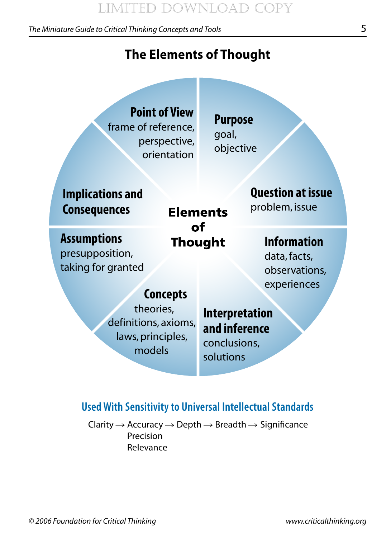*The Miniature Guide to Critical Thinking Concepts and Tools*

# **The Elements of Thought**

**Contract Contract Contract** 

| <b>Point of View</b><br>frame of reference,<br>perspective,<br>orientation          | <b>Purpose</b><br>goal,<br>objective                                               |  |
|-------------------------------------------------------------------------------------|------------------------------------------------------------------------------------|--|
| <b>Implications and</b><br><b>Consequences</b>                                      | <b>Question at issue</b><br>problem, issue<br>Elements<br>of                       |  |
| <b>Assumptions</b><br>presupposition,<br>taking for granted                         | <b>Information</b><br>Thought<br>data, facts,<br>observations,                     |  |
| <b>Concepts</b><br>theories,<br>definitions, axioms,<br>laws, principles,<br>models | experiences<br><b>Interpretation</b><br>and inference<br>conclusions,<br>solutions |  |

#### **Used With Sensitivity to Universal Intellectual Standards**

 $Clarity \rightarrow Accuracy \rightarrow Depth \rightarrow breadth \rightarrow Significance$ Precision Relevance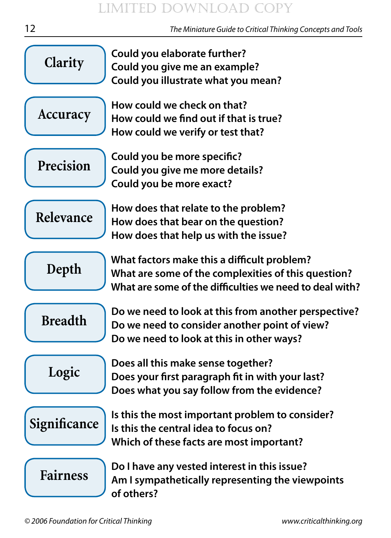#### ED DOWNLOAD

12 *The Miniature Guide to Critical Thinking Concepts and Tools*

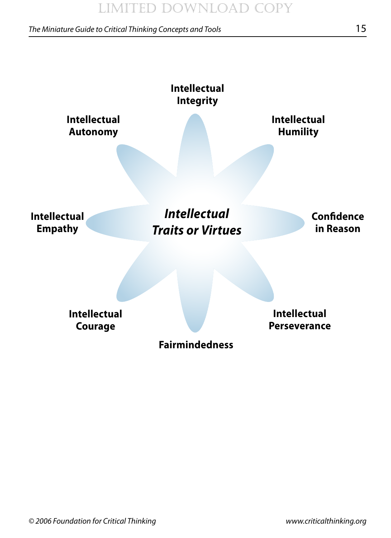